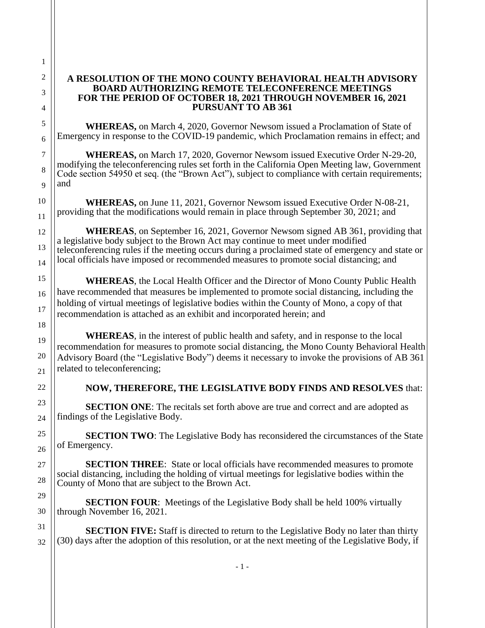## **A RESOLUTION OF THE MONO COUNTY BEHAVIORAL HEALTH ADVISORY BOARD AUTHORIZING REMOTE TELECONFERENCE MEETINGS FOR THE PERIOD OF OCTOBER 18, 2021 THROUGH NOVEMBER 16, 2021 PURSUANT TO AB 361**

**WHEREAS,** on March 4, 2020, Governor Newsom issued a Proclamation of State of Emergency in response to the COVID-19 pandemic, which Proclamation remains in effect; and

**WHEREAS,** on March 17, 2020, Governor Newsom issued Executive Order N-29-20, modifying the teleconferencing rules set forth in the California Open Meeting law, Government Code section 54950 et seq. (the "Brown Act"), subject to compliance with certain requirements; and

**WHEREAS,** on June 11, 2021, Governor Newsom issued Executive Order N-08-21, providing that the modifications would remain in place through September 30, 2021; and

**WHEREAS**, on September 16, 2021, Governor Newsom signed AB 361, providing that a legislative body subject to the Brown Act may continue to meet under modified teleconferencing rules if the meeting occurs during a proclaimed state of emergency and state or local officials have imposed or recommended measures to promote social distancing; and

**WHEREAS**, the Local Health Officer and the Director of Mono County Public Health have recommended that measures be implemented to promote social distancing, including the holding of virtual meetings of legislative bodies within the County of Mono, a copy of that recommendation is attached as an exhibit and incorporated herein; and

**WHEREAS**, in the interest of public health and safety, and in response to the local recommendation for measures to promote social distancing, the Mono County Behavioral Health Advisory Board (the "Legislative Body") deems it necessary to invoke the provisions of AB 361 related to teleconferencing;

## **NOW, THEREFORE, THE LEGISLATIVE BODY FINDS AND RESOLVES** that:

**SECTION ONE:** The recitals set forth above are true and correct and are adopted as findings of the Legislative Body.

**SECTION TWO:** The Legislative Body has reconsidered the circumstances of the State of Emergency.

**SECTION THREE**: State or local officials have recommended measures to promote social distancing, including the holding of virtual meetings for legislative bodies within the County of Mono that are subject to the Brown Act.

**SECTION FOUR:** Meetings of the Legislative Body shall be held 100% virtually through November 16, 2021.

**SECTION FIVE:** Staff is directed to return to the Legislative Body no later than thirty (30) days after the adoption of this resolution, or at the next meeting of the Legislative Body, if

32

1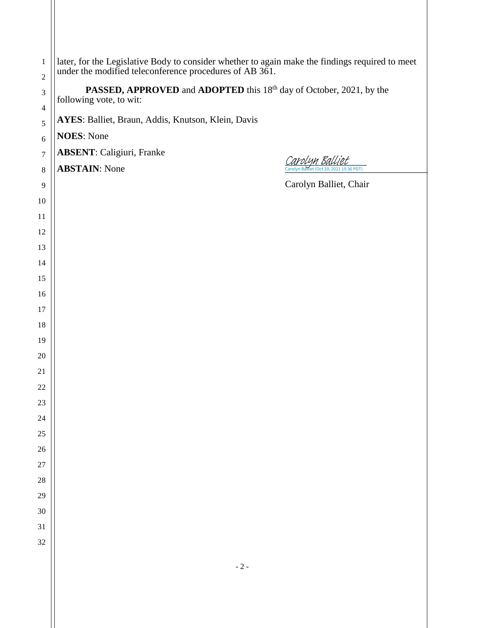| $\mathbf{1}$<br>$\sqrt{2}$             | later, for the Legislative Body to consider whether to again make the findings required to meet under the modified teleconference procedures of AB 361.<br><b>PASSED, APPROVED</b> and <b>ADOPTED</b> this 18 <sup>th</sup> day of October, 2021, by the<br>following vote, to wit: |  |
|----------------------------------------|-------------------------------------------------------------------------------------------------------------------------------------------------------------------------------------------------------------------------------------------------------------------------------------|--|
| $\mathfrak{Z}$                         |                                                                                                                                                                                                                                                                                     |  |
| $\overline{\mathcal{L}}$<br>$\sqrt{5}$ | AYES: Balliet, Braun, Addis, Knutson, Klein, Davis                                                                                                                                                                                                                                  |  |
| $\sqrt{6}$                             | <b>NOES: None</b>                                                                                                                                                                                                                                                                   |  |
| $\tau$                                 | <b>ABSENT: Caligiuri, Franke</b>                                                                                                                                                                                                                                                    |  |
| $\,8\,$                                | <u>Carolyn Balliet</u><br>Carolyn Balliet (Oct 20, 2021 15:36 PDT)<br><b>ABSTAIN:</b> None                                                                                                                                                                                          |  |
| 9                                      | Carolyn Balliet, Chair                                                                                                                                                                                                                                                              |  |
| 10                                     |                                                                                                                                                                                                                                                                                     |  |
| 11                                     |                                                                                                                                                                                                                                                                                     |  |
| 12                                     |                                                                                                                                                                                                                                                                                     |  |
| 13                                     |                                                                                                                                                                                                                                                                                     |  |
| 14                                     |                                                                                                                                                                                                                                                                                     |  |
| 15                                     |                                                                                                                                                                                                                                                                                     |  |
| 16                                     |                                                                                                                                                                                                                                                                                     |  |
| 17                                     |                                                                                                                                                                                                                                                                                     |  |
| 18                                     |                                                                                                                                                                                                                                                                                     |  |
| 19                                     |                                                                                                                                                                                                                                                                                     |  |
| 20                                     |                                                                                                                                                                                                                                                                                     |  |
| 21                                     |                                                                                                                                                                                                                                                                                     |  |
| 22                                     |                                                                                                                                                                                                                                                                                     |  |
| 23<br>24                               |                                                                                                                                                                                                                                                                                     |  |
| 25                                     |                                                                                                                                                                                                                                                                                     |  |
| 26                                     |                                                                                                                                                                                                                                                                                     |  |
| 27                                     |                                                                                                                                                                                                                                                                                     |  |
| 28                                     |                                                                                                                                                                                                                                                                                     |  |
| 29                                     |                                                                                                                                                                                                                                                                                     |  |
| 30                                     |                                                                                                                                                                                                                                                                                     |  |
| 31                                     |                                                                                                                                                                                                                                                                                     |  |
| 32                                     |                                                                                                                                                                                                                                                                                     |  |
|                                        |                                                                                                                                                                                                                                                                                     |  |
|                                        | $-2-$                                                                                                                                                                                                                                                                               |  |